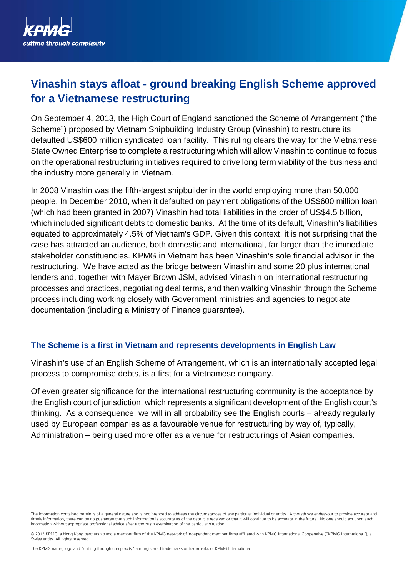

# **Vinashin stays afloat - ground breaking English Scheme approved for a Vietnamese restructuring**

On September 4, 2013, the High Court of England sanctioned the Scheme of Arrangement ("the Scheme") proposed by Vietnam Shipbuilding Industry Group (Vinashin) to restructure its defaulted US\$600 million syndicated loan facility. This ruling clears the way for the Vietnamese State Owned Enterprise to complete a restructuring which will allow Vinashin to continue to focus on the operational restructuring initiatives required to drive long term viability of the business and the industry more generally in Vietnam.

In 2008 Vinashin was the fifth-largest shipbuilder in the world employing more than 50,000 people. In December 2010, when it defaulted on payment obligations of the US\$600 million loan (which had been granted in 2007) Vinashin had total liabilities in the order of US\$4.5 billion, which included significant debts to domestic banks. At the time of its default, Vinashin's liabilities equated to approximately 4.5% of Vietnam's GDP. Given this context, it is not surprising that the case has attracted an audience, both domestic and international, far larger than the immediate stakeholder constituencies. KPMG in Vietnam has been Vinashin's sole financial advisor in the restructuring. We have acted as the bridge between Vinashin and some 20 plus international lenders and, together with Mayer Brown JSM, advised Vinashin on international restructuring processes and practices, negotiating deal terms, and then walking Vinashin through the Scheme process including working closely with Government ministries and agencies to negotiate documentation (including a Ministry of Finance guarantee).

#### **The Scheme is a first in Vietnam and represents developments in English Law**

Vinashin's use of an English Scheme of Arrangement, which is an internationally accepted legal process to compromise debts, is a first for a Vietnamese company.

Of even greater significance for the international restructuring community is the acceptance by the English court of jurisdiction, which represents a significant development of the English court's thinking. As a consequence, we will in all probability see the English courts – already regularly used by European companies as a favourable venue for restructuring by way of, typically, Administration – being used more offer as a venue for restructurings of Asian companies.

The KPMG name, logo and "cutting through complexity" are registered trademarks or trademarks of KPMG International.

The information contained herein is of a general nature and is not intended to address the circumstances of any particular individual or entity. Although we endeavour to provide accurate and timely information, there can be no quarantee that such information is accurate as of the date it is received or that it will continue to be accurate in the future. No one should act upon such information without appropriate professional advice after a thorough examination of the particular situation.

<sup>© 2013</sup> KPMG, a Hong Kong partnership and a member firm of the KPMG network of independent member firms affiliated with KPMG International Cooperative ("KPMG International"), a Swiss entity. All rights reserved.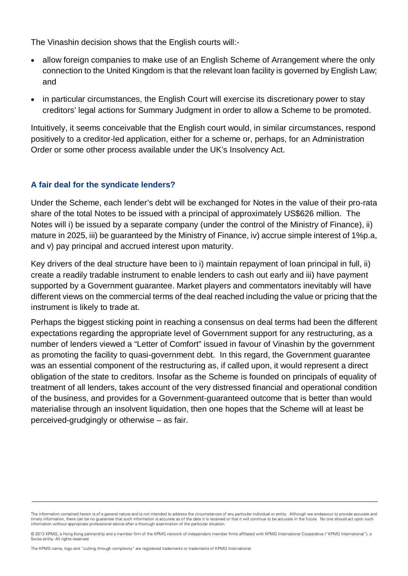The Vinashin decision shows that the English courts will:-

- allow foreign companies to make use of an English Scheme of Arrangement where the only connection to the United Kingdom is that the relevant loan facility is governed by English Law; and
- in particular circumstances, the English Court will exercise its discretionary power to stay creditors' legal actions for Summary Judgment in order to allow a Scheme to be promoted.

Intuitively, it seems conceivable that the English court would, in similar circumstances, respond positively to a creditor-led application, either for a scheme or, perhaps, for an Administration Order or some other process available under the UK's Insolvency Act.

#### **A fair deal for the syndicate lenders?**

Under the Scheme, each lender's debt will be exchanged for Notes in the value of their pro-rata share of the total Notes to be issued with a principal of approximately US\$626 million. The Notes will i) be issued by a separate company (under the control of the Ministry of Finance), ii) mature in 2025, iii) be guaranteed by the Ministry of Finance, iv) accrue simple interest of 1%p.a, and v) pay principal and accrued interest upon maturity.

Key drivers of the deal structure have been to i) maintain repayment of loan principal in full, ii) create a readily tradable instrument to enable lenders to cash out early and iii) have payment supported by a Government guarantee. Market players and commentators inevitably will have different views on the commercial terms of the deal reached including the value or pricing that the instrument is likely to trade at.

Perhaps the biggest sticking point in reaching a consensus on deal terms had been the different expectations regarding the appropriate level of Government support for any restructuring, as a number of lenders viewed a "Letter of Comfort" issued in favour of Vinashin by the government as promoting the facility to quasi-government debt. In this regard, the Government guarantee was an essential component of the restructuring as, if called upon, it would represent a direct obligation of the state to creditors. Insofar as the Scheme is founded on principals of equality of treatment of all lenders, takes account of the very distressed financial and operational condition of the business, and provides for a Government-guaranteed outcome that is better than would materialise through an insolvent liquidation, then one hopes that the Scheme will at least be perceived-grudgingly or otherwise – as fair.

The information contained herein is of a general nature and is not intended to address the circumstances of any particular individual or entity. Although we endeavour to provide accurate and timely information, there can be no quarantee that such information is accurate as of the date it is received or that it will continue to be accurate in the future. No one should act upon such information without appropriate professional advice after a thorough examination of the particular situation.

<sup>© 2013</sup> KPMG, a Hong Kong partnership and a member firm of the KPMG network of independent member firms affiliated with KPMG International Cooperative ("KPMG International"), a Swiss entity. All rights reserved.

The KPMG name, logo and "cutting through complexity" are registered trademarks or trademarks of KPMG International.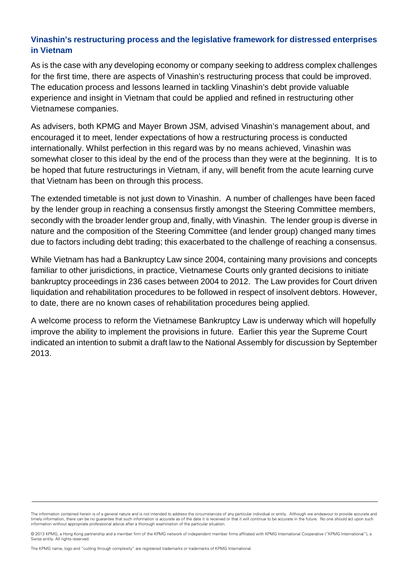## **Vinashin's restructuring process and the legislative framework for distressed enterprises in Vietnam**

As is the case with any developing economy or company seeking to address complex challenges for the first time, there are aspects of Vinashin's restructuring process that could be improved. The education process and lessons learned in tackling Vinashin's debt provide valuable experience and insight in Vietnam that could be applied and refined in restructuring other Vietnamese companies.

As advisers, both KPMG and Mayer Brown JSM, advised Vinashin's management about, and encouraged it to meet, lender expectations of how a restructuring process is conducted internationally. Whilst perfection in this regard was by no means achieved, Vinashin was somewhat closer to this ideal by the end of the process than they were at the beginning. It is to be hoped that future restructurings in Vietnam, if any, will benefit from the acute learning curve that Vietnam has been on through this process.

The extended timetable is not just down to Vinashin. A number of challenges have been faced by the lender group in reaching a consensus firstly amongst the Steering Committee members, secondly with the broader lender group and, finally, with Vinashin. The lender group is diverse in nature and the composition of the Steering Committee (and lender group) changed many times due to factors including debt trading; this exacerbated to the challenge of reaching a consensus.

While Vietnam has had a Bankruptcy Law since 2004, containing many provisions and concepts familiar to other jurisdictions, in practice, Vietnamese Courts only granted decisions to initiate bankruptcy proceedings in 236 cases between 2004 to 2012. The Law provides for Court driven liquidation and rehabilitation procedures to be followed in respect of insolvent debtors. However, to date, there are no known cases of rehabilitation procedures being applied.

A welcome process to reform the Vietnamese Bankruptcy Law is underway which will hopefully improve the ability to implement the provisions in future. Earlier this year the Supreme Court indicated an intention to submit a draft law to the National Assembly for discussion by September 2013.

The information contained herein is of a general nature and is not intended to address the circumstances of any particular individual or entity. Although we endeavour to provide accurate and timely information, there can be no quarantee that such information is accurate as of the date it is received or that it will continue to be accurate in the future. No one should act upon such information without appropriate professional advice after a thorough examination of the particular situation.

<sup>© 2013</sup> KPMG, a Hong Kong partnership and a member firm of the KPMG network of independent member firms affiliated with KPMG International Cooperative ("KPMG International"), a Swiss entity. All rights reserved.

The KPMG name, logo and "cutting through complexity" are registered trademarks or trademarks of KPMG International.